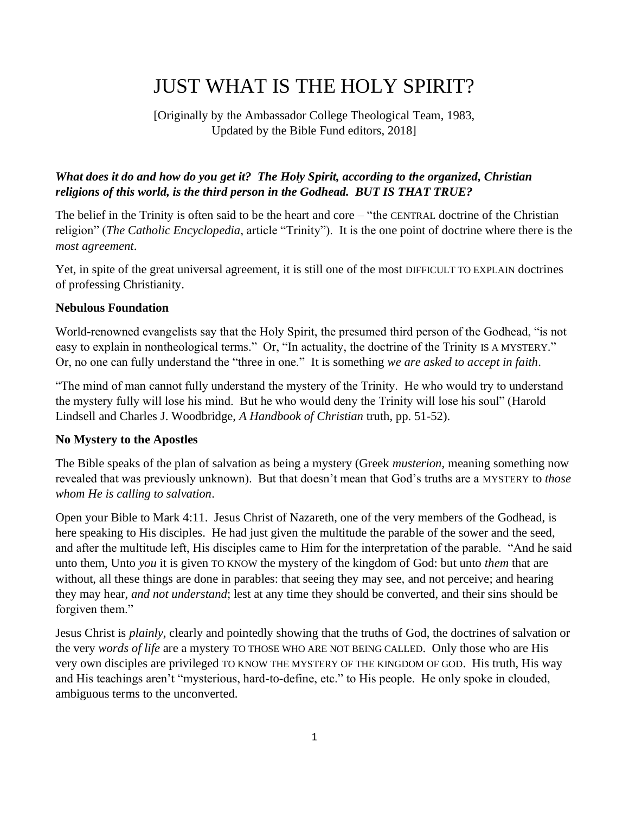# JUST WHAT IS THE HOLY SPIRIT?

[Originally by the Ambassador College Theological Team, 1983, Updated by the Bible Fund editors, 2018]

#### *What does it do and how do you get it? The Holy Spirit, according to the organized, Christian religions of this world, is the third person in the Godhead. BUT IS THAT TRUE?*

The belief in the Trinity is often said to be the heart and core – "the CENTRAL doctrine of the Christian religion" (*The Catholic Encyclopedia*, article "Trinity"). It is the one point of doctrine where there is the *most agreement*.

Yet, in spite of the great universal agreement, it is still one of the most DIFFICULT TO EXPLAIN doctrines of professing Christianity.

#### **Nebulous Foundation**

World-renowned evangelists say that the Holy Spirit, the presumed third person of the Godhead, "is not easy to explain in nontheological terms." Or, "In actuality, the doctrine of the Trinity IS A MYSTERY." Or, no one can fully understand the "three in one." It is something *we are asked to accept in faith*.

"The mind of man cannot fully understand the mystery of the Trinity. He who would try to understand the mystery fully will lose his mind. But he who would deny the Trinity will lose his soul" (Harold Lindsell and Charles J. Woodbridge, *A Handbook of Christian* truth, pp. 51-52).

#### **No Mystery to the Apostles**

The Bible speaks of the plan of salvation as being a mystery (Greek *musterion*, meaning something now revealed that was previously unknown). But that doesn't mean that God's truths are a MYSTERY to *those whom He is calling to salvation*.

Open your Bible to Mark 4:11. Jesus Christ of Nazareth, one of the very members of the Godhead, is here speaking to His disciples. He had just given the multitude the parable of the sower and the seed, and after the multitude left, His disciples came to Him for the interpretation of the parable. "And he said unto them, Unto *you* it is given TO KNOW the mystery of the kingdom of God: but unto *them* that are without, all these things are done in parables: that seeing they may see, and not perceive; and hearing they may hear, *and not understand*; lest at any time they should be converted, and their sins should be forgiven them."

Jesus Christ is *plainly*, clearly and pointedly showing that the truths of God, the doctrines of salvation or the very *words of life* are a mystery TO THOSE WHO ARE NOT BEING CALLED. Only those who are His very own disciples are privileged TO KNOW THE MYSTERY OF THE KINGDOM OF GOD. His truth, His way and His teachings aren't "mysterious, hard-to-define, etc." to His people. He only spoke in clouded, ambiguous terms to the unconverted.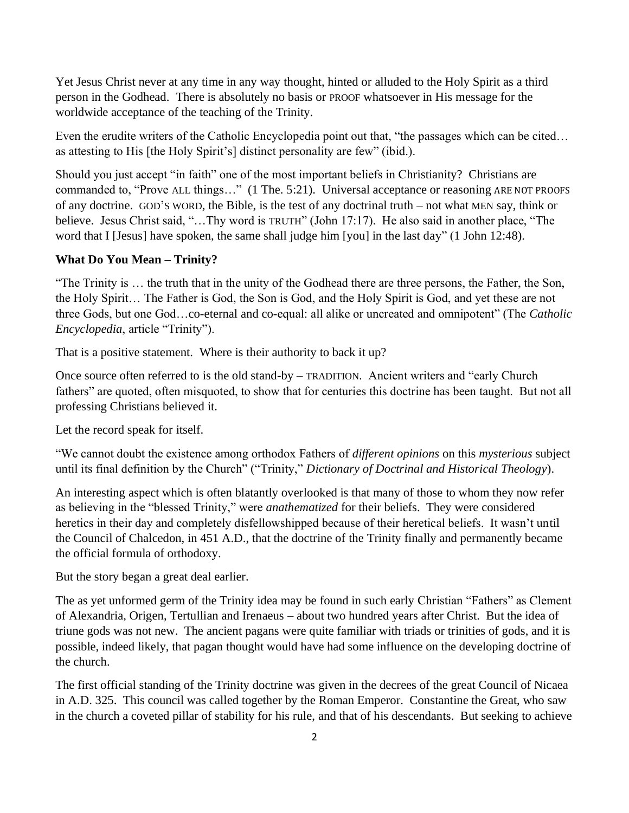Yet Jesus Christ never at any time in any way thought, hinted or alluded to the Holy Spirit as a third person in the Godhead. There is absolutely no basis or PROOF whatsoever in His message for the worldwide acceptance of the teaching of the Trinity.

Even the erudite writers of the Catholic Encyclopedia point out that, "the passages which can be cited… as attesting to His [the Holy Spirit's] distinct personality are few" (ibid.).

Should you just accept "in faith" one of the most important beliefs in Christianity? Christians are commanded to, "Prove ALL things…" (1 The. 5:21). Universal acceptance or reasoning ARE NOT PROOFS of any doctrine. GOD'S WORD, the Bible, is the test of any doctrinal truth – not what MEN say, think or believe. Jesus Christ said, "…Thy word is TRUTH" (John 17:17). He also said in another place, "The word that I [Jesus] have spoken, the same shall judge him [you] in the last day" (1 John 12:48).

#### **What Do You Mean – Trinity?**

"The Trinity is … the truth that in the unity of the Godhead there are three persons, the Father, the Son, the Holy Spirit… The Father is God, the Son is God, and the Holy Spirit is God, and yet these are not three Gods, but one God…co-eternal and co-equal: all alike or uncreated and omnipotent" (The *Catholic Encyclopedia*, article "Trinity").

That is a positive statement. Where is their authority to back it up?

Once source often referred to is the old stand-by – TRADITION. Ancient writers and "early Church fathers" are quoted, often misquoted, to show that for centuries this doctrine has been taught. But not all professing Christians believed it.

Let the record speak for itself.

"We cannot doubt the existence among orthodox Fathers of *different opinions* on this *mysterious* subject until its final definition by the Church" ("Trinity," *Dictionary of Doctrinal and Historical Theology*).

An interesting aspect which is often blatantly overlooked is that many of those to whom they now refer as believing in the "blessed Trinity," were *anathematized* for their beliefs. They were considered heretics in their day and completely disfellowshipped because of their heretical beliefs. It wasn't until the Council of Chalcedon, in 451 A.D., that the doctrine of the Trinity finally and permanently became the official formula of orthodoxy.

But the story began a great deal earlier.

The as yet unformed germ of the Trinity idea may be found in such early Christian "Fathers" as Clement of Alexandria, Origen, Tertullian and Irenaeus – about two hundred years after Christ. But the idea of triune gods was not new. The ancient pagans were quite familiar with triads or trinities of gods, and it is possible, indeed likely, that pagan thought would have had some influence on the developing doctrine of the church.

The first official standing of the Trinity doctrine was given in the decrees of the great Council of Nicaea in A.D. 325. This council was called together by the Roman Emperor. Constantine the Great, who saw in the church a coveted pillar of stability for his rule, and that of his descendants. But seeking to achieve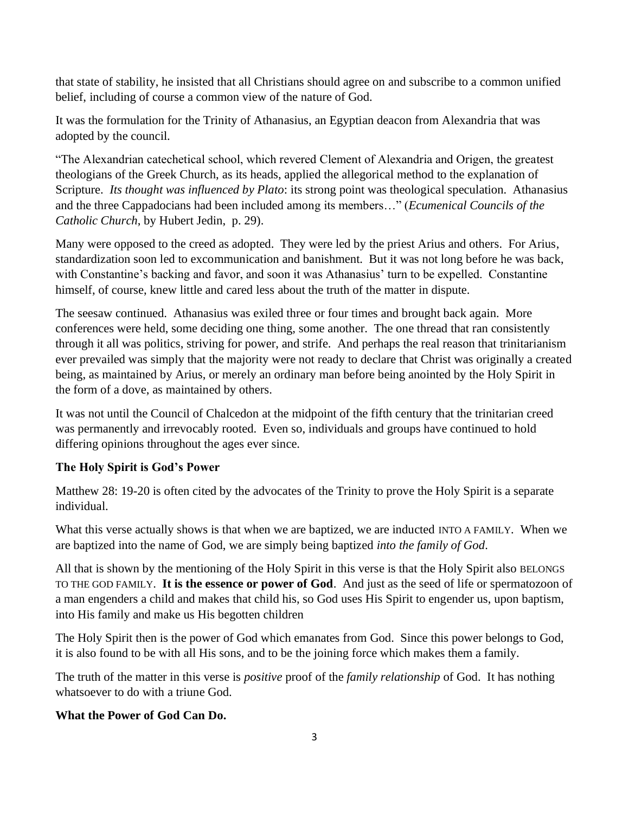that state of stability, he insisted that all Christians should agree on and subscribe to a common unified belief, including of course a common view of the nature of God.

It was the formulation for the Trinity of Athanasius, an Egyptian deacon from Alexandria that was adopted by the council.

"The Alexandrian catechetical school, which revered Clement of Alexandria and Origen, the greatest theologians of the Greek Church, as its heads, applied the allegorical method to the explanation of Scripture. *Its thought was influenced by Plato*: its strong point was theological speculation. Athanasius and the three Cappadocians had been included among its members…" (*Ecumenical Councils of the Catholic Church*, by Hubert Jedin, p. 29).

Many were opposed to the creed as adopted. They were led by the priest Arius and others. For Arius, standardization soon led to excommunication and banishment. But it was not long before he was back, with Constantine's backing and favor, and soon it was Athanasius' turn to be expelled. Constantine himself, of course, knew little and cared less about the truth of the matter in dispute.

The seesaw continued. Athanasius was exiled three or four times and brought back again. More conferences were held, some deciding one thing, some another. The one thread that ran consistently through it all was politics, striving for power, and strife. And perhaps the real reason that trinitarianism ever prevailed was simply that the majority were not ready to declare that Christ was originally a created being, as maintained by Arius, or merely an ordinary man before being anointed by the Holy Spirit in the form of a dove, as maintained by others.

It was not until the Council of Chalcedon at the midpoint of the fifth century that the trinitarian creed was permanently and irrevocably rooted. Even so, individuals and groups have continued to hold differing opinions throughout the ages ever since.

## **The Holy Spirit is God's Power**

Matthew 28: 19-20 is often cited by the advocates of the Trinity to prove the Holy Spirit is a separate individual.

What this verse actually shows is that when we are baptized, we are inducted INTO A FAMILY. When we are baptized into the name of God, we are simply being baptized *into the family of God*.

All that is shown by the mentioning of the Holy Spirit in this verse is that the Holy Spirit also BELONGS TO THE GOD FAMILY. **It is the essence or power of God**. And just as the seed of life or spermatozoon of a man engenders a child and makes that child his, so God uses His Spirit to engender us, upon baptism, into His family and make us His begotten children

The Holy Spirit then is the power of God which emanates from God. Since this power belongs to God, it is also found to be with all His sons, and to be the joining force which makes them a family.

The truth of the matter in this verse is *positive* proof of the *family relationship* of God. It has nothing whatsoever to do with a triune God.

#### **What the Power of God Can Do.**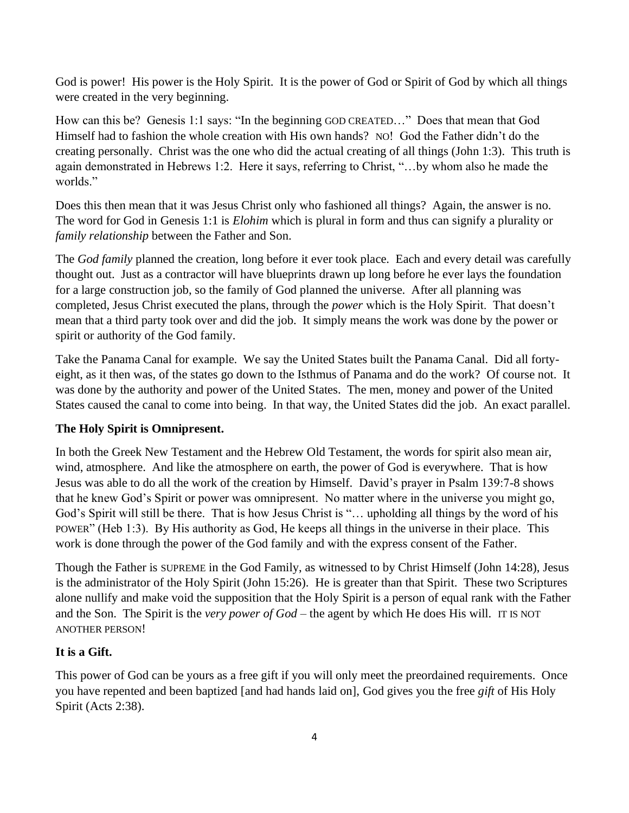God is power! His power is the Holy Spirit. It is the power of God or Spirit of God by which all things were created in the very beginning.

How can this be? Genesis 1:1 says: "In the beginning GOD CREATED…" Does that mean that God Himself had to fashion the whole creation with His own hands? NO! God the Father didn't do the creating personally. Christ was the one who did the actual creating of all things (John 1:3). This truth is again demonstrated in Hebrews 1:2. Here it says, referring to Christ, "…by whom also he made the worlds."

Does this then mean that it was Jesus Christ only who fashioned all things? Again, the answer is no. The word for God in Genesis 1:1 is *Elohim* which is plural in form and thus can signify a plurality or *family relationship* between the Father and Son.

The *God family* planned the creation, long before it ever took place. Each and every detail was carefully thought out. Just as a contractor will have blueprints drawn up long before he ever lays the foundation for a large construction job, so the family of God planned the universe. After all planning was completed, Jesus Christ executed the plans, through the *power* which is the Holy Spirit. That doesn't mean that a third party took over and did the job. It simply means the work was done by the power or spirit or authority of the God family.

Take the Panama Canal for example. We say the United States built the Panama Canal. Did all fortyeight, as it then was, of the states go down to the Isthmus of Panama and do the work? Of course not. It was done by the authority and power of the United States. The men, money and power of the United States caused the canal to come into being. In that way, the United States did the job. An exact parallel.

## **The Holy Spirit is Omnipresent.**

In both the Greek New Testament and the Hebrew Old Testament, the words for spirit also mean air, wind, atmosphere. And like the atmosphere on earth, the power of God is everywhere. That is how Jesus was able to do all the work of the creation by Himself. David's prayer in Psalm 139:7-8 shows that he knew God's Spirit or power was omnipresent. No matter where in the universe you might go, God's Spirit will still be there. That is how Jesus Christ is "… upholding all things by the word of his POWER" (Heb 1:3). By His authority as God, He keeps all things in the universe in their place. This work is done through the power of the God family and with the express consent of the Father.

Though the Father is SUPREME in the God Family, as witnessed to by Christ Himself (John 14:28), Jesus is the administrator of the Holy Spirit (John 15:26). He is greater than that Spirit. These two Scriptures alone nullify and make void the supposition that the Holy Spirit is a person of equal rank with the Father and the Son. The Spirit is the *very power of God* – the agent by which He does His will. IT IS NOT ANOTHER PERSON!

## **It is a Gift.**

This power of God can be yours as a free gift if you will only meet the preordained requirements. Once you have repented and been baptized [and had hands laid on], God gives you the free *gift* of His Holy Spirit (Acts 2:38).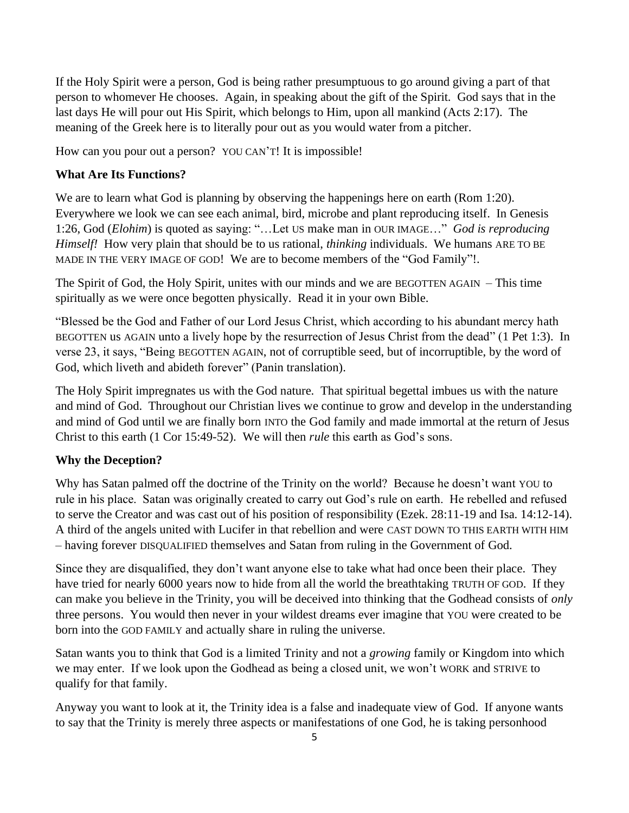If the Holy Spirit were a person, God is being rather presumptuous to go around giving a part of that person to whomever He chooses. Again, in speaking about the gift of the Spirit. God says that in the last days He will pour out His Spirit, which belongs to Him, upon all mankind (Acts 2:17). The meaning of the Greek here is to literally pour out as you would water from a pitcher.

How can you pour out a person? YOU CAN'T! It is impossible!

#### **What Are Its Functions?**

We are to learn what God is planning by observing the happenings here on earth (Rom 1:20). Everywhere we look we can see each animal, bird, microbe and plant reproducing itself. In Genesis 1:26, God (*Elohim*) is quoted as saying: "…Let US make man in OUR IMAGE…" *God is reproducing Himself!* How very plain that should be to us rational, *thinking* individuals. We humans ARE TO BE MADE IN THE VERY IMAGE OF GOD! We are to become members of the "God Family"!.

The Spirit of God, the Holy Spirit, unites with our minds and we are BEGOTTEN AGAIN – This time spiritually as we were once begotten physically. Read it in your own Bible.

"Blessed be the God and Father of our Lord Jesus Christ, which according to his abundant mercy hath BEGOTTEN us AGAIN unto a lively hope by the resurrection of Jesus Christ from the dead" (1 Pet 1:3). In verse 23, it says, "Being BEGOTTEN AGAIN, not of corruptible seed, but of incorruptible, by the word of God, which liveth and abideth forever" (Panin translation).

The Holy Spirit impregnates us with the God nature. That spiritual begettal imbues us with the nature and mind of God. Throughout our Christian lives we continue to grow and develop in the understanding and mind of God until we are finally born INTO the God family and made immortal at the return of Jesus Christ to this earth (1 Cor 15:49-52). We will then *rule* this earth as God's sons.

## **Why the Deception?**

Why has Satan palmed off the doctrine of the Trinity on the world? Because he doesn't want YOU to rule in his place. Satan was originally created to carry out God's rule on earth. He rebelled and refused to serve the Creator and was cast out of his position of responsibility (Ezek. 28:11-19 and Isa. 14:12-14). A third of the angels united with Lucifer in that rebellion and were CAST DOWN TO THIS EARTH WITH HIM – having forever DISQUALIFIED themselves and Satan from ruling in the Government of God.

Since they are disqualified, they don't want anyone else to take what had once been their place. They have tried for nearly 6000 years now to hide from all the world the breathtaking TRUTH OF GOD. If they can make you believe in the Trinity, you will be deceived into thinking that the Godhead consists of *only*  three persons. You would then never in your wildest dreams ever imagine that YOU were created to be born into the GOD FAMILY and actually share in ruling the universe.

Satan wants you to think that God is a limited Trinity and not a *growing* family or Kingdom into which we may enter. If we look upon the Godhead as being a closed unit, we won't WORK and STRIVE to qualify for that family.

Anyway you want to look at it, the Trinity idea is a false and inadequate view of God. If anyone wants to say that the Trinity is merely three aspects or manifestations of one God, he is taking personhood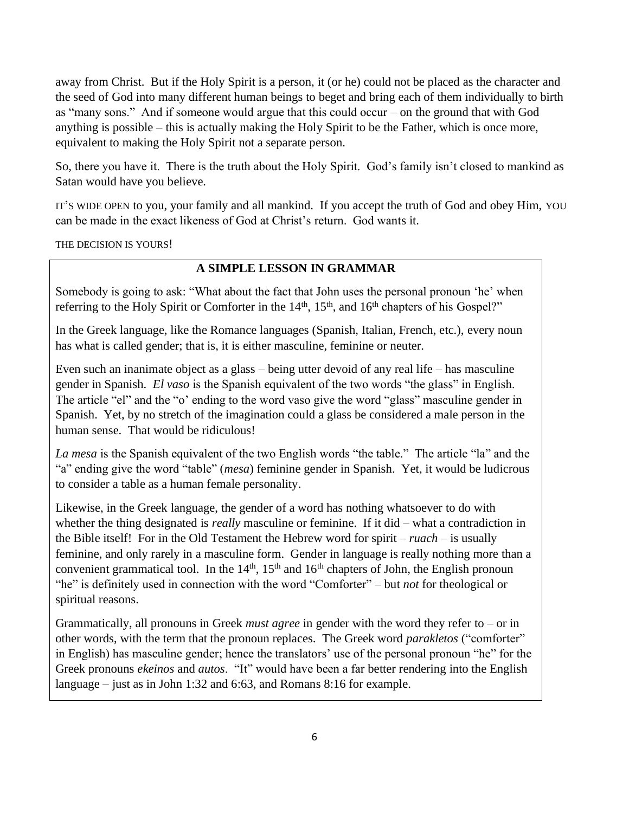away from Christ. But if the Holy Spirit is a person, it (or he) could not be placed as the character and the seed of God into many different human beings to beget and bring each of them individually to birth as "many sons." And if someone would argue that this could occur – on the ground that with God anything is possible – this is actually making the Holy Spirit to be the Father, which is once more, equivalent to making the Holy Spirit not a separate person.

So, there you have it. There is the truth about the Holy Spirit. God's family isn't closed to mankind as Satan would have you believe.

IT'S WIDE OPEN to you, your family and all mankind. If you accept the truth of God and obey Him, YOU can be made in the exact likeness of God at Christ's return. God wants it.

THE DECISION IS YOURS!

## **A SIMPLE LESSON IN GRAMMAR**

Somebody is going to ask: "What about the fact that John uses the personal pronoun 'he' when referring to the Holy Spirit or Comforter in the 14<sup>th</sup>, 15<sup>th</sup>, and 16<sup>th</sup> chapters of his Gospel?"

In the Greek language, like the Romance languages (Spanish, Italian, French, etc.), every noun has what is called gender; that is, it is either masculine, feminine or neuter.

Even such an inanimate object as a glass – being utter devoid of any real life – has masculine gender in Spanish. *El vaso* is the Spanish equivalent of the two words "the glass" in English. The article "el" and the "o' ending to the word vaso give the word "glass" masculine gender in Spanish. Yet, by no stretch of the imagination could a glass be considered a male person in the human sense. That would be ridiculous!

*La mesa* is the Spanish equivalent of the two English words "the table." The article "la" and the "a" ending give the word "table" (*mesa*) feminine gender in Spanish. Yet, it would be ludicrous to consider a table as a human female personality.

Likewise, in the Greek language, the gender of a word has nothing whatsoever to do with whether the thing designated is *really* masculine or feminine. If it did – what a contradiction in the Bible itself! For in the Old Testament the Hebrew word for spirit – *ruach* – is usually feminine, and only rarely in a masculine form. Gender in language is really nothing more than a convenient grammatical tool. In the  $14<sup>th</sup>$ ,  $15<sup>th</sup>$  and  $16<sup>th</sup>$  chapters of John, the English pronoun "he" is definitely used in connection with the word "Comforter" – but *not* for theological or spiritual reasons.

Grammatically, all pronouns in Greek *must agree* in gender with the word they refer to – or in other words, with the term that the pronoun replaces. The Greek word *parakletos* ("comforter" in English) has masculine gender; hence the translators' use of the personal pronoun "he" for the Greek pronouns *ekeinos* and *autos*. "It" would have been a far better rendering into the English language – just as in John 1:32 and 6:63, and Romans 8:16 for example.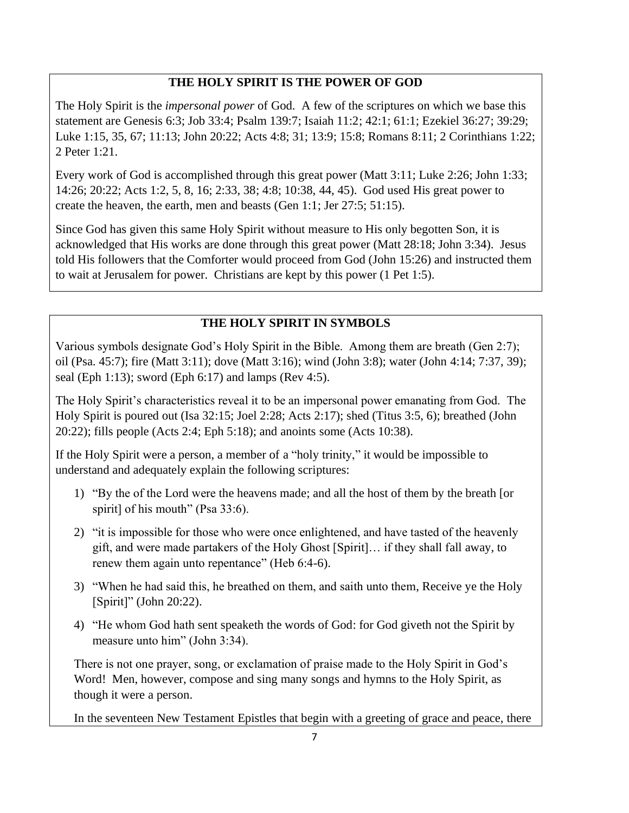## **THE HOLY SPIRIT IS THE POWER OF GOD**

The Holy Spirit is the *impersonal power* of God. A few of the scriptures on which we base this statement are Genesis 6:3; Job 33:4; Psalm 139:7; Isaiah 11:2; 42:1; 61:1; Ezekiel 36:27; 39:29; Luke 1:15, 35, 67; 11:13; John 20:22; Acts 4:8; 31; 13:9; 15:8; Romans 8:11; 2 Corinthians 1:22; 2 Peter 1:21.

Every work of God is accomplished through this great power (Matt 3:11; Luke 2:26; John 1:33; 14:26; 20:22; Acts 1:2, 5, 8, 16; 2:33, 38; 4:8; 10:38, 44, 45). God used His great power to create the heaven, the earth, men and beasts (Gen 1:1; Jer 27:5; 51:15).

Since God has given this same Holy Spirit without measure to His only begotten Son, it is acknowledged that His works are done through this great power (Matt 28:18; John 3:34). Jesus told His followers that the Comforter would proceed from God (John 15:26) and instructed them to wait at Jerusalem for power. Christians are kept by this power (1 Pet 1:5).

## **THE HOLY SPIRIT IN SYMBOLS**

Various symbols designate God's Holy Spirit in the Bible. Among them are breath (Gen 2:7); oil (Psa. 45:7); fire (Matt 3:11); dove (Matt 3:16); wind (John 3:8); water (John 4:14; 7:37, 39); seal (Eph 1:13); sword (Eph 6:17) and lamps (Rev 4:5).

The Holy Spirit's characteristics reveal it to be an impersonal power emanating from God. The Holy Spirit is poured out (Isa 32:15; Joel 2:28; Acts 2:17); shed (Titus 3:5, 6); breathed (John 20:22); fills people (Acts 2:4; Eph 5:18); and anoints some (Acts 10:38).

If the Holy Spirit were a person, a member of a "holy trinity," it would be impossible to understand and adequately explain the following scriptures:

- 1) "By the of the Lord were the heavens made; and all the host of them by the breath [or spirit] of his mouth" (Psa 33:6).
- 2) "it is impossible for those who were once enlightened, and have tasted of the heavenly gift, and were made partakers of the Holy Ghost [Spirit]… if they shall fall away, to renew them again unto repentance" (Heb 6:4-6).
- 3) "When he had said this, he breathed on them, and saith unto them, Receive ye the Holy [Spirit]" (John 20:22).
- 4) "He whom God hath sent speaketh the words of God: for God giveth not the Spirit by measure unto him" (John 3:34).

There is not one prayer, song, or exclamation of praise made to the Holy Spirit in God's Word! Men, however, compose and sing many songs and hymns to the Holy Spirit, as though it were a person.

In the seventeen New Testament Epistles that begin with a greeting of grace and peace, there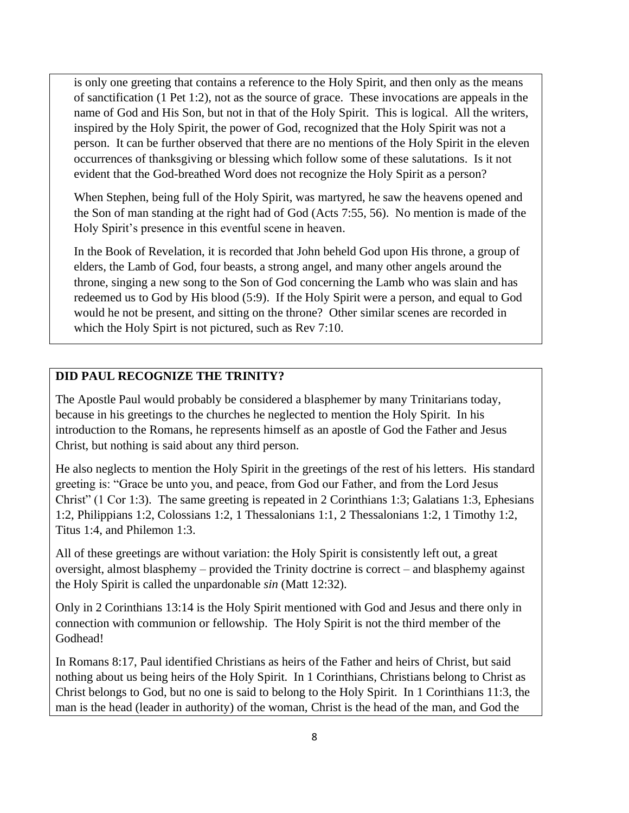is only one greeting that contains a reference to the Holy Spirit, and then only as the means of sanctification (1 Pet 1:2), not as the source of grace. These invocations are appeals in the name of God and His Son, but not in that of the Holy Spirit. This is logical. All the writers, inspired by the Holy Spirit, the power of God, recognized that the Holy Spirit was not a person. It can be further observed that there are no mentions of the Holy Spirit in the eleven occurrences of thanksgiving or blessing which follow some of these salutations. Is it not evident that the God-breathed Word does not recognize the Holy Spirit as a person?

When Stephen, being full of the Holy Spirit, was martyred, he saw the heavens opened and the Son of man standing at the right had of God (Acts 7:55, 56). No mention is made of the Holy Spirit's presence in this eventful scene in heaven.

In the Book of Revelation, it is recorded that John beheld God upon His throne, a group of elders, the Lamb of God, four beasts, a strong angel, and many other angels around the throne, singing a new song to the Son of God concerning the Lamb who was slain and has redeemed us to God by His blood (5:9). If the Holy Spirit were a person, and equal to God would he not be present, and sitting on the throne? Other similar scenes are recorded in which the Holy Spirt is not pictured, such as Rev 7:10.

#### **DID PAUL RECOGNIZE THE TRINITY?**

The Apostle Paul would probably be considered a blasphemer by many Trinitarians today, because in his greetings to the churches he neglected to mention the Holy Spirit. In his introduction to the Romans, he represents himself as an apostle of God the Father and Jesus Christ, but nothing is said about any third person.

He also neglects to mention the Holy Spirit in the greetings of the rest of his letters. His standard greeting is: "Grace be unto you, and peace, from God our Father, and from the Lord Jesus Christ" (1 Cor 1:3). The same greeting is repeated in 2 Corinthians 1:3; Galatians 1:3, Ephesians 1:2, Philippians 1:2, Colossians 1:2, 1 Thessalonians 1:1, 2 Thessalonians 1:2, 1 Timothy 1:2, Titus 1:4, and Philemon 1:3.

All of these greetings are without variation: the Holy Spirit is consistently left out, a great oversight, almost blasphemy – provided the Trinity doctrine is correct – and blasphemy against the Holy Spirit is called the unpardonable *sin* (Matt 12:32).

Only in 2 Corinthians 13:14 is the Holy Spirit mentioned with God and Jesus and there only in connection with communion or fellowship. The Holy Spirit is not the third member of the Godhead!

In Romans 8:17, Paul identified Christians as heirs of the Father and heirs of Christ, but said nothing about us being heirs of the Holy Spirit. In 1 Corinthians, Christians belong to Christ as Christ belongs to God, but no one is said to belong to the Holy Spirit. In 1 Corinthians 11:3, the man is the head (leader in authority) of the woman, Christ is the head of the man, and God the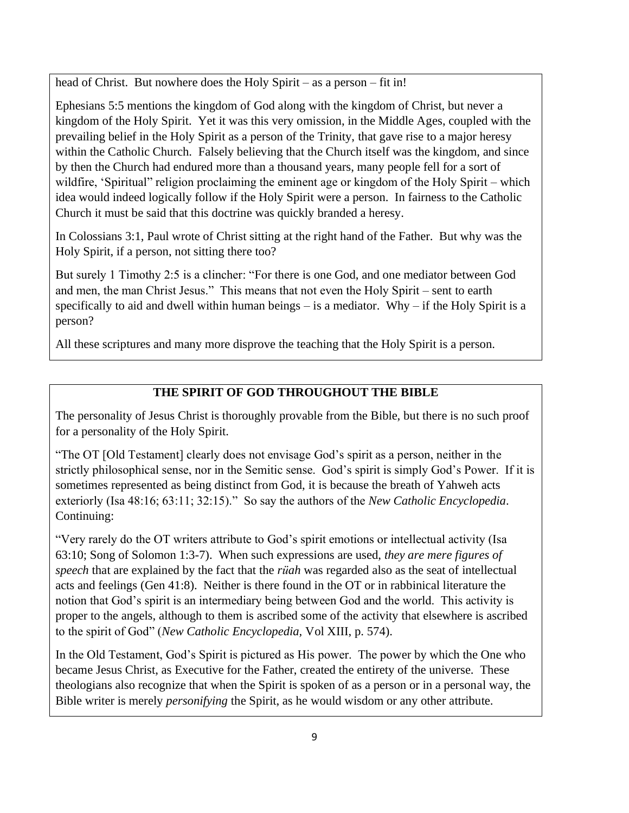head of Christ. But nowhere does the Holy Spirit – as a person – fit in!

Ephesians 5:5 mentions the kingdom of God along with the kingdom of Christ, but never a kingdom of the Holy Spirit. Yet it was this very omission, in the Middle Ages, coupled with the prevailing belief in the Holy Spirit as a person of the Trinity, that gave rise to a major heresy within the Catholic Church. Falsely believing that the Church itself was the kingdom, and since by then the Church had endured more than a thousand years, many people fell for a sort of wildfire, 'Spiritual" religion proclaiming the eminent age or kingdom of the Holy Spirit – which idea would indeed logically follow if the Holy Spirit were a person. In fairness to the Catholic Church it must be said that this doctrine was quickly branded a heresy.

In Colossians 3:1, Paul wrote of Christ sitting at the right hand of the Father. But why was the Holy Spirit, if a person, not sitting there too?

But surely 1 Timothy 2:5 is a clincher: "For there is one God, and one mediator between God and men, the man Christ Jesus." This means that not even the Holy Spirit – sent to earth specifically to aid and dwell within human beings  $-$  is a mediator. Why  $-$  if the Holy Spirit is a person?

All these scriptures and many more disprove the teaching that the Holy Spirit is a person.

## **THE SPIRIT OF GOD THROUGHOUT THE BIBLE**

The personality of Jesus Christ is thoroughly provable from the Bible, but there is no such proof for a personality of the Holy Spirit.

"The OT [Old Testament] clearly does not envisage God's spirit as a person, neither in the strictly philosophical sense, nor in the Semitic sense. God's spirit is simply God's Power. If it is sometimes represented as being distinct from God, it is because the breath of Yahweh acts exteriorly (Isa 48:16; 63:11; 32:15)." So say the authors of the *New Catholic Encyclopedia*. Continuing:

"Very rarely do the OT writers attribute to God's spirit emotions or intellectual activity (Isa 63:10; Song of Solomon 1:3-7). When such expressions are used, *they are mere figures of speech* that are explained by the fact that the *rüah* was regarded also as the seat of intellectual acts and feelings (Gen 41:8). Neither is there found in the OT or in rabbinical literature the notion that God's spirit is an intermediary being between God and the world. This activity is proper to the angels, although to them is ascribed some of the activity that elsewhere is ascribed to the spirit of God" (*New Catholic Encyclopedia,* Vol XIII, p. 574).

In the Old Testament, God's Spirit is pictured as His power. The power by which the One who became Jesus Christ, as Executive for the Father, created the entirety of the universe. These theologians also recognize that when the Spirit is spoken of as a person or in a personal way, the Bible writer is merely *personifying* the Spirit, as he would wisdom or any other attribute.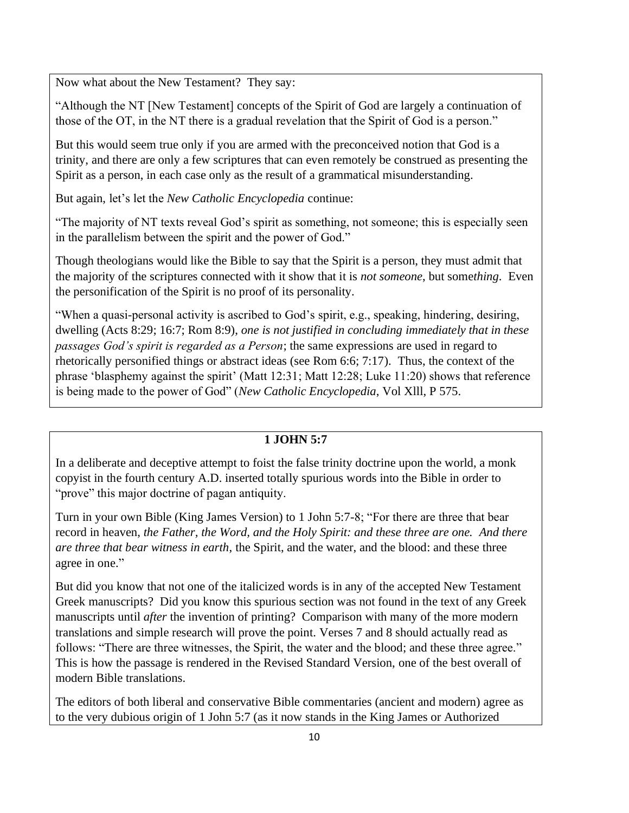Now what about the New Testament? They say:

"Although the NT [New Testament] concepts of the Spirit of God are largely a continuation of those of the OT, in the NT there is a gradual revelation that the Spirit of God is a person."

But this would seem true only if you are armed with the preconceived notion that God is a trinity, and there are only a few scriptures that can even remotely be construed as presenting the Spirit as a person, in each case only as the result of a grammatical misunderstanding.

But again, let's let the *New Catholic Encyclopedia* continue:

"The majority of NT texts reveal God's spirit as something, not someone; this is especially seen in the parallelism between the spirit and the power of God."

Though theologians would like the Bible to say that the Spirit is a person, they must admit that the majority of the scriptures connected with it show that it is *not someone*, but some*thing*. Even the personification of the Spirit is no proof of its personality.

"When a quasi-personal activity is ascribed to God's spirit, e.g., speaking, hindering, desiring, dwelling (Acts 8:29; 16:7; Rom 8:9), *one is not justified in concluding immediately that in these passages God's spirit is regarded as a Person*; the same expressions are used in regard to rhetorically personified things or abstract ideas (see Rom 6:6; 7:17). Thus, the context of the phrase 'blasphemy against the spirit' (Matt 12:31; Matt 12:28; Luke 11:20) shows that reference is being made to the power of God" (*New Catholic Encyclopedia*, Vol Xlll, P 575.

## **1 JOHN 5:7**

In a deliberate and deceptive attempt to foist the false trinity doctrine upon the world, a monk copyist in the fourth century A.D. inserted totally spurious words into the Bible in order to "prove" this major doctrine of pagan antiquity.

Turn in your own Bible (King James Version) to 1 John 5:7-8; "For there are three that bear record in heaven, *the Father, the Word, and the Holy Spirit: and these three are one. And there are three that bear witness in earth*, the Spirit, and the water, and the blood: and these three agree in one."

But did you know that not one of the italicized words is in any of the accepted New Testament Greek manuscripts? Did you know this spurious section was not found in the text of any Greek manuscripts until *after* the invention of printing? Comparison with many of the more modern translations and simple research will prove the point. Verses 7 and 8 should actually read as follows: "There are three witnesses, the Spirit, the water and the blood; and these three agree." This is how the passage is rendered in the Revised Standard Version, one of the best overall of modern Bible translations.

The editors of both liberal and conservative Bible commentaries (ancient and modern) agree as to the very dubious origin of 1 John 5:7 (as it now stands in the King James or Authorized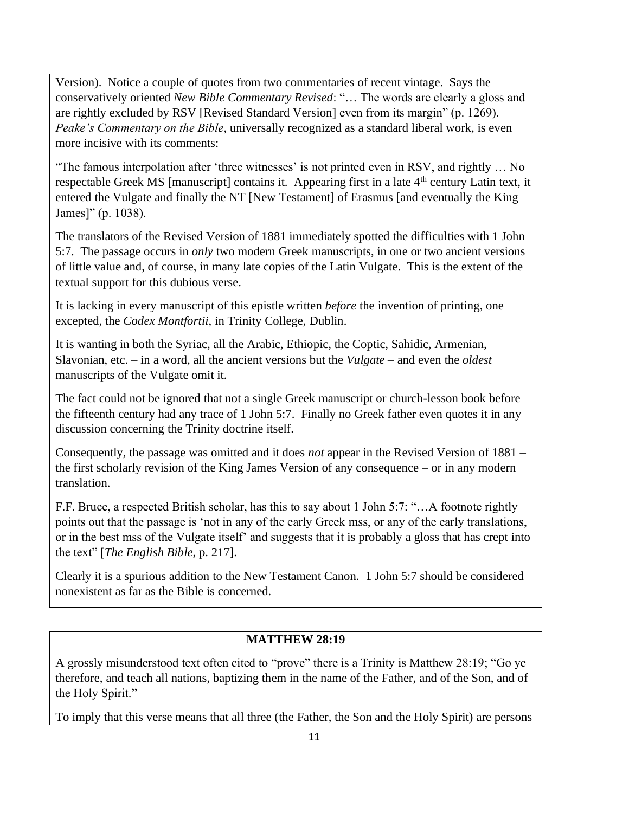Version). Notice a couple of quotes from two commentaries of recent vintage. Says the conservatively oriented *New Bible Commentary Revised*: "… The words are clearly a gloss and are rightly excluded by RSV [Revised Standard Version] even from its margin" (p. 1269). *Peake's Commentary on the Bible*, universally recognized as a standard liberal work, is even more incisive with its comments:

"The famous interpolation after 'three witnesses' is not printed even in RSV, and rightly … No respectable Greek MS [manuscript] contains it. Appearing first in a late 4<sup>th</sup> century Latin text, it entered the Vulgate and finally the NT [New Testament] of Erasmus [and eventually the King James]" (p. 1038).

The translators of the Revised Version of 1881 immediately spotted the difficulties with 1 John 5:7. The passage occurs in *only* two modern Greek manuscripts, in one or two ancient versions of little value and, of course, in many late copies of the Latin Vulgate. This is the extent of the textual support for this dubious verse.

It is lacking in every manuscript of this epistle written *before* the invention of printing, one excepted, the *Codex Montfortii*, in Trinity College, Dublin.

It is wanting in both the Syriac, all the Arabic, Ethiopic, the Coptic, Sahidic, Armenian, Slavonian, etc. – in a word, all the ancient versions but the *Vulgate* – and even the *oldest* manuscripts of the Vulgate omit it.

The fact could not be ignored that not a single Greek manuscript or church-lesson book before the fifteenth century had any trace of 1 John 5:7. Finally no Greek father even quotes it in any discussion concerning the Trinity doctrine itself.

Consequently, the passage was omitted and it does *not* appear in the Revised Version of 1881 – the first scholarly revision of the King James Version of any consequence – or in any modern translation.

F.F. Bruce, a respected British scholar, has this to say about 1 John 5:7: "…A footnote rightly points out that the passage is 'not in any of the early Greek mss, or any of the early translations, or in the best mss of the Vulgate itself' and suggests that it is probably a gloss that has crept into the text" [*The English Bible*, p. 217].

Clearly it is a spurious addition to the New Testament Canon. 1 John 5:7 should be considered nonexistent as far as the Bible is concerned.

## **MATTHEW 28:19**

A grossly misunderstood text often cited to "prove" there is a Trinity is Matthew 28:19; "Go ye therefore, and teach all nations, baptizing them in the name of the Father, and of the Son, and of the Holy Spirit."

To imply that this verse means that all three (the Father, the Son and the Holy Spirit) are persons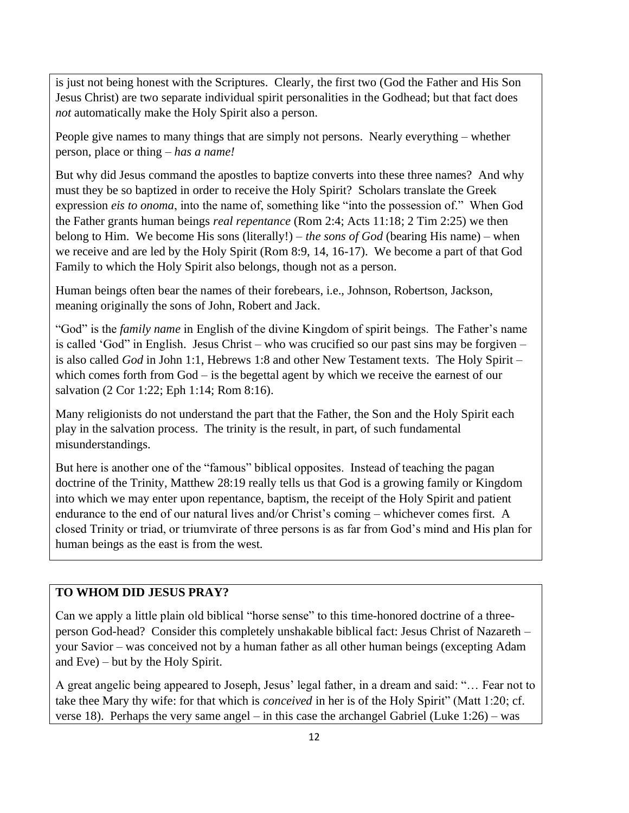is just not being honest with the Scriptures. Clearly, the first two (God the Father and His Son Jesus Christ) are two separate individual spirit personalities in the Godhead; but that fact does *not* automatically make the Holy Spirit also a person.

People give names to many things that are simply not persons. Nearly everything – whether person, place or thing – *has a name!*

But why did Jesus command the apostles to baptize converts into these three names? And why must they be so baptized in order to receive the Holy Spirit? Scholars translate the Greek expression *eis to onoma*, into the name of, something like "into the possession of." When God the Father grants human beings *real repentance* (Rom 2:4; Acts 11:18; 2 Tim 2:25) we then belong to Him. We become His sons (literally!) – *the sons of God* (bearing His name) – when we receive and are led by the Holy Spirit (Rom 8:9, 14, 16-17). We become a part of that God Family to which the Holy Spirit also belongs, though not as a person.

Human beings often bear the names of their forebears, i.e., Johnson, Robertson, Jackson, meaning originally the sons of John, Robert and Jack.

"God" is the *family name* in English of the divine Kingdom of spirit beings. The Father's name is called 'God" in English. Jesus Christ – who was crucified so our past sins may be forgiven – is also called *God* in John 1:1, Hebrews 1:8 and other New Testament texts. The Holy Spirit – which comes forth from God – is the begettal agent by which we receive the earnest of our salvation (2 Cor 1:22; Eph 1:14; Rom 8:16).

Many religionists do not understand the part that the Father, the Son and the Holy Spirit each play in the salvation process. The trinity is the result, in part, of such fundamental misunderstandings.

But here is another one of the "famous" biblical opposites. Instead of teaching the pagan doctrine of the Trinity, Matthew 28:19 really tells us that God is a growing family or Kingdom into which we may enter upon repentance, baptism, the receipt of the Holy Spirit and patient endurance to the end of our natural lives and/or Christ's coming – whichever comes first. A closed Trinity or triad, or triumvirate of three persons is as far from God's mind and His plan for human beings as the east is from the west.

#### **TO WHOM DID JESUS PRAY?**

Can we apply a little plain old biblical "horse sense" to this time-honored doctrine of a threeperson God-head? Consider this completely unshakable biblical fact: Jesus Christ of Nazareth – your Savior – was conceived not by a human father as all other human beings (excepting Adam and Eve) – but by the Holy Spirit.

A great angelic being appeared to Joseph, Jesus' legal father, in a dream and said: "… Fear not to take thee Mary thy wife: for that which is *conceived* in her is of the Holy Spirit" (Matt 1:20; cf. verse 18). Perhaps the very same angel – in this case the archangel Gabriel (Luke 1:26) – was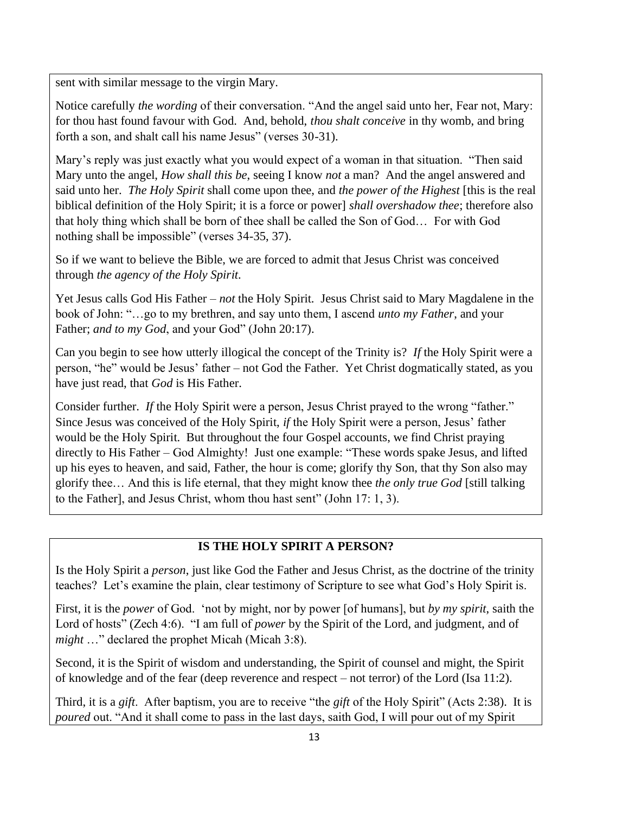sent with similar message to the virgin Mary.

Notice carefully *the wording* of their conversation. "And the angel said unto her, Fear not, Mary: for thou hast found favour with God. And, behold, *thou shalt conceive* in thy womb, and bring forth a son, and shalt call his name Jesus" (verses 30-31).

Mary's reply was just exactly what you would expect of a woman in that situation. "Then said Mary unto the angel, *How shall this be*, seeing I know *not* a man? And the angel answered and said unto her. *The Holy Spirit* shall come upon thee, and *the power of the Highest* [this is the real biblical definition of the Holy Spirit; it is a force or power] *shall overshadow thee*; therefore also that holy thing which shall be born of thee shall be called the Son of God… For with God nothing shall be impossible" (verses 34-35, 37).

So if we want to believe the Bible, we are forced to admit that Jesus Christ was conceived through *the agency of the Holy Spirit*.

Yet Jesus calls God His Father – *not* the Holy Spirit. Jesus Christ said to Mary Magdalene in the book of John: "…go to my brethren, and say unto them, I ascend *unto my Father*, and your Father; *and to my God*, and your God" (John 20:17).

Can you begin to see how utterly illogical the concept of the Trinity is? *If* the Holy Spirit were a person, "he" would be Jesus' father – not God the Father. Yet Christ dogmatically stated, as you have just read, that *God* is His Father.

Consider further. *If* the Holy Spirit were a person, Jesus Christ prayed to the wrong "father." Since Jesus was conceived of the Holy Spirit, *if* the Holy Spirit were a person, Jesus' father would be the Holy Spirit. But throughout the four Gospel accounts, we find Christ praying directly to His Father – God Almighty! Just one example: "These words spake Jesus, and lifted up his eyes to heaven, and said, Father, the hour is come; glorify thy Son, that thy Son also may glorify thee… And this is life eternal, that they might know thee *the only true God* [still talking to the Father], and Jesus Christ, whom thou hast sent" (John 17: 1, 3).

## **IS THE HOLY SPIRIT A PERSON?**

Is the Holy Spirit a *person*, just like God the Father and Jesus Christ, as the doctrine of the trinity teaches? Let's examine the plain, clear testimony of Scripture to see what God's Holy Spirit is.

First, it is the *power* of God. 'not by might, nor by power [of humans], but *by my spirit*, saith the Lord of hosts" (Zech 4:6). "I am full of *power* by the Spirit of the Lord, and judgment, and of *might* …" declared the prophet Micah (Micah 3:8).

Second, it is the Spirit of wisdom and understanding, the Spirit of counsel and might, the Spirit of knowledge and of the fear (deep reverence and respect – not terror) of the Lord (Isa 11:2).

Third, it is a *gift*. After baptism, you are to receive "the *gift* of the Holy Spirit" (Acts 2:38). It is *poured* out. "And it shall come to pass in the last days, saith God, I will pour out of my Spirit